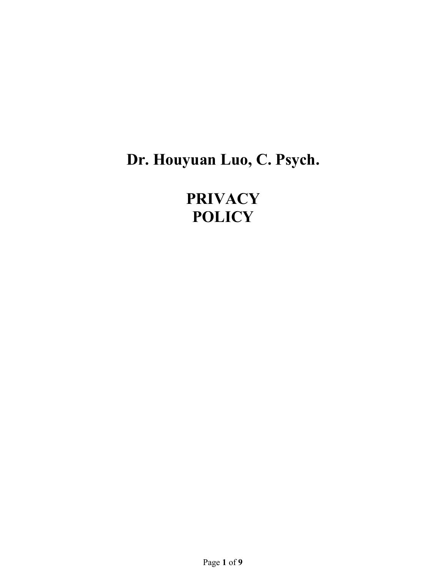# **Dr. Houyuan Luo, C. Psych.**

**PRIVACY POLICY**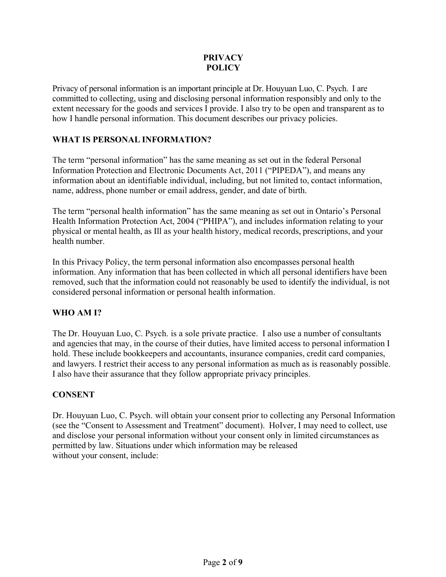### **PRIVACY POLICY**

Privacy of personal information is an important principle at Dr. Houyuan Luo, C. Psych. I are committed to collecting, using and disclosing personal information responsibly and only to the extent necessary for the goods and services I provide. I also try to be open and transparent as to how I handle personal information. This document describes our privacy policies.

## **WHAT IS PERSONAL INFORMATION?**

The term "personal information" has the same meaning as set out in the federal Personal Information Protection and Electronic Documents Act, 2011 ("PIPEDA"), and means any information about an identifiable individual, including, but not limited to, contact information, name, address, phone number or email address, gender, and date of birth.

The term "personal health information" has the same meaning as set out in Ontario's Personal Health Information Protection Act, 2004 ("PHIPA"), and includes information relating to your physical or mental health, as Ill as your health history, medical records, prescriptions, and your health number.

In this Privacy Policy, the term personal information also encompasses personal health information. Any information that has been collected in which all personal identifiers have been removed, such that the information could not reasonably be used to identify the individual, is not considered personal information or personal health information.

# **WHO AM I?**

The Dr. Houyuan Luo, C. Psych. is a sole private practice. I also use a number of consultants and agencies that may, in the course of their duties, have limited access to personal information I hold. These include bookkeepers and accountants, insurance companies, credit card companies, and lawyers. I restrict their access to any personal information as much as is reasonably possible. I also have their assurance that they follow appropriate privacy principles.

#### **CONSENT**

Dr. Houyuan Luo, C. Psych. will obtain your consent prior to collecting any Personal Information (see the "Consent to Assessment and Treatment" document). HoIver, I may need to collect, use and disclose your personal information without your consent only in limited circumstances as permitted by law. Situations under which information may be released without your consent, include: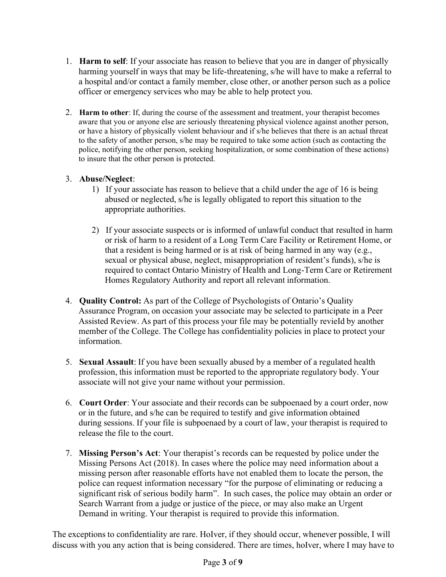- 1. **Harm to self**: If your associate has reason to believe that you are in danger of physically harming yourself in ways that may be life-threatening, s/he will have to make a referral to a hospital and/or contact a family member, close other, or another person such as a police officer or emergency services who may be able to help protect you.
- 2. **Harm to other**: If, during the course of the assessment and treatment, your therapist becomes aware that you or anyone else are seriously threatening physical violence against another person, or have a history of physically violent behaviour and if s/he believes that there is an actual threat to the safety of another person, s/he may be required to take some action (such as contacting the police, notifying the other person, seeking hospitalization, or some combination of these actions) to insure that the other person is protected.

## 3. **Abuse/Neglect**:

- 1) If your associate has reason to believe that a child under the age of 16 is being abused or neglected, s/he is legally obligated to report this situation to the appropriate authorities.
- 2) If your associate suspects or is informed of unlawful conduct that resulted in harm or risk of harm to a resident of a Long Term Care Facility or Retirement Home, or that a resident is being harmed or is at risk of being harmed in any way (e.g., sexual or physical abuse, neglect, misappropriation of resident's funds), s/he is required to contact Ontario Ministry of Health and Long-Term Care or Retirement Homes Regulatory Authority and report all relevant information.
- 4. **Quality Control:** As part of the College of Psychologists of Ontario's Quality Assurance Program, on occasion your associate may be selected to participate in a Peer Assisted Review. As part of this process your file may be potentially revieId by another member of the College. The College has confidentiality policies in place to protect your information.
- 5. **Sexual Assault**: If you have been sexually abused by a member of a regulated health profession, this information must be reported to the appropriate regulatory body. Your associate will not give your name without your permission.
- 6. **Court Order**: Your associate and their records can be subpoenaed by a court order, now or in the future, and s/he can be required to testify and give information obtained during sessions. If your file is subpoenaed by a court of law, your therapist is required to release the file to the court.
- 7. **Missing Person's Act**: Your therapist's records can be requested by police under the Missing Persons Act (2018). In cases where the police may need information about a missing person after reasonable efforts have not enabled them to locate the person, the police can request information necessary "for the purpose of eliminating or reducing a significant risk of serious bodily harm". In such cases, the police may obtain an order or Search Warrant from a judge or justice of the piece, or may also make an Urgent Demand in writing. Your therapist is required to provide this information.

The exceptions to confidentiality are rare. HoIver, if they should occur, whenever possible, I will discuss with you any action that is being considered. There are times, hoIver, where I may have to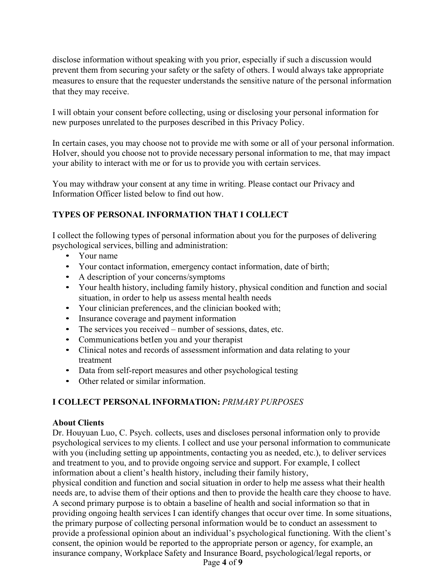disclose information without speaking with you prior, especially if such a discussion would prevent them from securing your safety or the safety of others. I would always take appropriate measures to ensure that the requester understands the sensitive nature of the personal information that they may receive.

I will obtain your consent before collecting, using or disclosing your personal information for new purposes unrelated to the purposes described in this Privacy Policy.

In certain cases, you may choose not to provide me with some or all of your personal information. HoIver, should you choose not to provide necessary personal information to me, that may impact your ability to interact with me or for us to provide you with certain services.

You may withdraw your consent at any time in writing. Please contact our Privacy and Information Officer listed below to find out how.

# **TYPES OF PERSONAL INFORMATION THAT I COLLECT**

I collect the following types of personal information about you for the purposes of delivering psychological services, billing and administration:

- Your name
- Your contact information, emergency contact information, date of birth;
- A description of your concerns/symptoms
- Your health history, including family history, physical condition and function and social situation, in order to help us assess mental health needs
- Your clinician preferences, and the clinician booked with;
- Insurance coverage and payment information
- The services you received number of sessions, dates, etc.
- Communications betIen you and your therapist
- Clinical notes and records of assessment information and data relating to your treatment
- Data from self-report measures and other psychological testing
- Other related or similar information.

# **I COLLECT PERSONAL INFORMATION:** *PRIMARY PURPOSES*

#### **About Clients**

Dr. Houyuan Luo, C. Psych. collects, uses and discloses personal information only to provide psychological services to my clients. I collect and use your personal information to communicate with you (including setting up appointments, contacting you as needed, etc.), to deliver services and treatment to you, and to provide ongoing service and support. For example, I collect information about a client's health history, including their family history,

physical condition and function and social situation in order to help me assess what their health needs are, to advise them of their options and then to provide the health care they choose to have. A second primary purpose is to obtain a baseline of health and social information so that in providing ongoing health services I can identify changes that occur over time. In some situations, the primary purpose of collecting personal information would be to conduct an assessment to provide a professional opinion about an individual's psychological functioning. With the client's consent, the opinion would be reported to the appropriate person or agency, for example, an insurance company, Workplace Safety and Insurance Board, psychological/legal reports, or

Page **4** of **9**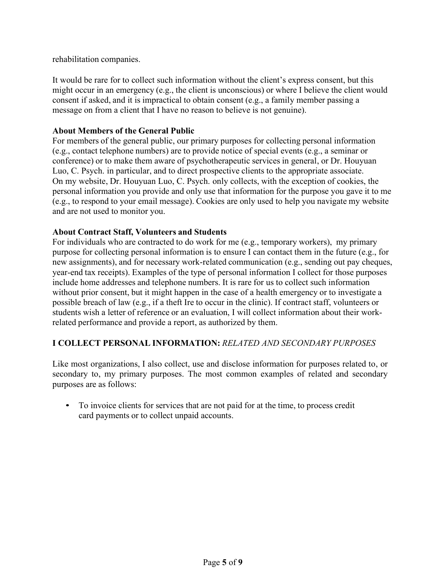rehabilitation companies.

It would be rare for to collect such information without the client's express consent, but this might occur in an emergency (e.g., the client is unconscious) or where I believe the client would consent if asked, and it is impractical to obtain consent (e.g., a family member passing a message on from a client that I have no reason to believe is not genuine).

#### **About Members of the General Public**

For members of the general public, our primary purposes for collecting personal information (e.g., contact telephone numbers) are to provide notice of special events (e.g., a seminar or conference) or to make them aware of psychotherapeutic services in general, or Dr. Houyuan Luo, C. Psych. in particular, and to direct prospective clients to the appropriate associate. On my website, Dr. Houyuan Luo, C. Psych. only collects, with the exception of cookies, the personal information you provide and only use that information for the purpose you gave it to me (e.g., to respond to your email message). Cookies are only used to help you navigate my website and are not used to monitor you.

#### **About Contract Staff, Volunteers and Students**

For individuals who are contracted to do work for me (e.g., temporary workers), my primary purpose for collecting personal information is to ensure I can contact them in the future (e.g., for new assignments), and for necessary work-related communication (e.g., sending out pay cheques, year-end tax receipts). Examples of the type of personal information I collect for those purposes include home addresses and telephone numbers. It is rare for us to collect such information without prior consent, but it might happen in the case of a health emergency or to investigate a possible breach of law (e.g., if a theft Ire to occur in the clinic). If contract staff, volunteers or students wish a letter of reference or an evaluation, I will collect information about their workrelated performance and provide a report, as authorized by them.

#### **I COLLECT PERSONAL INFORMATION:** *RELATED AND SECONDARY PURPOSES*

Like most organizations, I also collect, use and disclose information for purposes related to, or secondary to, my primary purposes. The most common examples of related and secondary purposes are as follows:

• To invoice clients for services that are not paid for at the time, to process credit card payments or to collect unpaid accounts.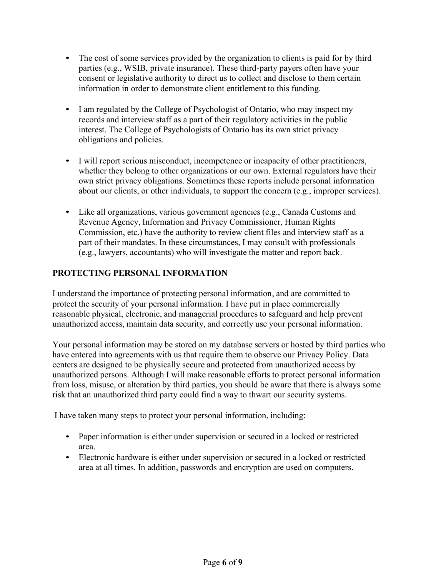- The cost of some services provided by the organization to clients is paid for by third parties (e.g., WSIB, private insurance). These third-party payers often have your consent or legislative authority to direct us to collect and disclose to them certain information in order to demonstrate client entitlement to this funding.
- I am regulated by the College of Psychologist of Ontario, who may inspect my records and interview staff as a part of their regulatory activities in the public interest. The College of Psychologists of Ontario has its own strict privacy obligations and policies.
- I will report serious misconduct, incompetence or incapacity of other practitioners, whether they belong to other organizations or our own. External regulators have their own strict privacy obligations. Sometimes these reports include personal information about our clients, or other individuals, to support the concern (e.g., improper services).
- Like all organizations, various government agencies (e.g., Canada Customs and Revenue Agency, Information and Privacy Commissioner, Human Rights Commission, etc.) have the authority to review client files and interview staff as a part of their mandates. In these circumstances, I may consult with professionals (e.g., lawyers, accountants) who will investigate the matter and report back.

# **PROTECTING PERSONAL INFORMATION**

I understand the importance of protecting personal information, and are committed to protect the security of your personal information. I have put in place commercially reasonable physical, electronic, and managerial procedures to safeguard and help prevent unauthorized access, maintain data security, and correctly use your personal information.

Your personal information may be stored on my database servers or hosted by third parties who have entered into agreements with us that require them to observe our Privacy Policy. Data centers are designed to be physically secure and protected from unauthorized access by unauthorized persons. Although I will make reasonable efforts to protect personal information from loss, misuse, or alteration by third parties, you should be aware that there is always some risk that an unauthorized third party could find a way to thwart our security systems.

I have taken many steps to protect your personal information, including:

- Paper information is either under supervision or secured in a locked or restricted area.
- Electronic hardware is either under supervision or secured in a locked or restricted area at all times. In addition, passwords and encryption are used on computers.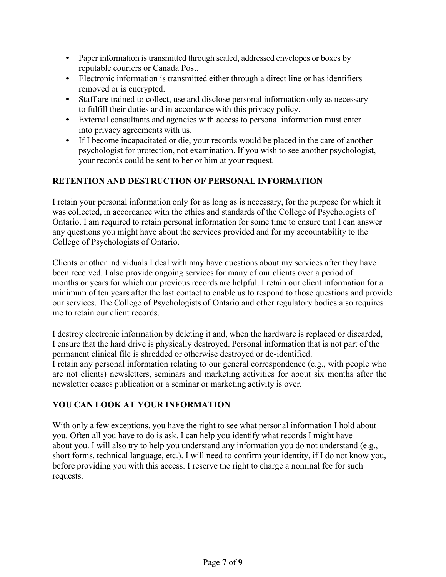- Paper information is transmitted through sealed, addressed envelopes or boxes by reputable couriers or Canada Post.
- Electronic information is transmitted either through a direct line or has identifiers removed or is encrypted.
- Staff are trained to collect, use and disclose personal information only as necessary to fulfill their duties and in accordance with this privacy policy.
- External consultants and agencies with access to personal information must enter into privacy agreements with us.
- If I become incapacitated or die, your records would be placed in the care of another psychologist for protection, not examination. If you wish to see another psychologist, your records could be sent to her or him at your request.

# **RETENTION AND DESTRUCTION OF PERSONAL INFORMATION**

I retain your personal information only for as long as is necessary, for the purpose for which it was collected, in accordance with the ethics and standards of the College of Psychologists of Ontario. I am required to retain personal information for some time to ensure that I can answer any questions you might have about the services provided and for my accountability to the College of Psychologists of Ontario.

Clients or other individuals I deal with may have questions about my services after they have been received. I also provide ongoing services for many of our clients over a period of months or years for which our previous records are helpful. I retain our client information for a minimum of ten years after the last contact to enable us to respond to those questions and provide our services. The College of Psychologists of Ontario and other regulatory bodies also requires me to retain our client records.

I destroy electronic information by deleting it and, when the hardware is replaced or discarded, I ensure that the hard drive is physically destroyed. Personal information that is not part of the permanent clinical file is shredded or otherwise destroyed or de-identified. I retain any personal information relating to our general correspondence (e.g., with people who

are not clients) newsletters, seminars and marketing activities for about six months after the newsletter ceases publication or a seminar or marketing activity is over.

# **YOU CAN LOOK AT YOUR INFORMATION**

With only a few exceptions, you have the right to see what personal information I hold about you. Often all you have to do is ask. I can help you identify what records I might have about you. I will also try to help you understand any information you do not understand (e.g., short forms, technical language, etc.). I will need to confirm your identity, if I do not know you, before providing you with this access. I reserve the right to charge a nominal fee for such requests.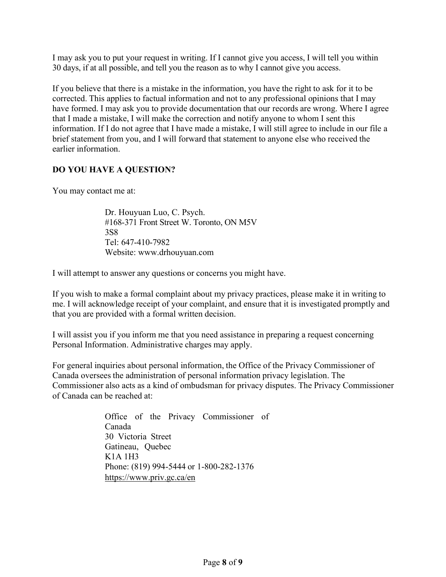I may ask you to put your request in writing. If I cannot give you access, I will tell you within 30 days, if at all possible, and tell you the reason as to why I cannot give you access.

If you believe that there is a mistake in the information, you have the right to ask for it to be corrected. This applies to factual information and not to any professional opinions that I may have formed. I may ask you to provide documentation that our records are wrong. Where I agree that I made a mistake, I will make the correction and notify anyone to whom I sent this information. If I do not agree that I have made a mistake, I will still agree to include in our file a brief statement from you, and I will forward that statement to anyone else who received the earlier information.

## **DO YOU HAVE A QUESTION?**

You may contact me at:

Dr. Houyuan Luo, C. Psych. #168-371 Front Street W. Toronto, ON M5V 3S8 Tel: 647-410-7982 Website: www.drhouyuan.com

I will attempt to answer any questions or concerns you might have.

If you wish to make a formal complaint about my privacy practices, please make it in writing to me. I will acknowledge receipt of your complaint, and ensure that it is investigated promptly and that you are provided with a formal written decision.

I will assist you if you inform me that you need assistance in preparing a request concerning Personal Information. Administrative charges may apply.

For general inquiries about personal information, the Office of the Privacy Commissioner of Canada oversees the administration of personal information privacy legislation. The Commissioner also acts as a kind of ombudsman for privacy disputes. The Privacy Commissioner of Canada can be reached at:

> Office of the Privacy Commissioner of Canada 30 Victoria Street Gatineau, Quebec K1A 1H3 Phone: (819) 994-5444 or 1-800-282-1376 <https://www.priv.gc.ca/en>